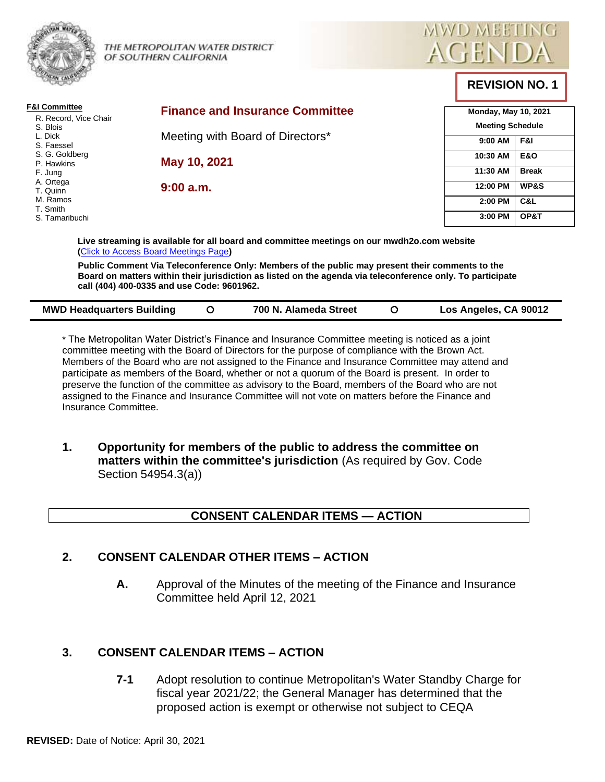





**REVISION NO. 1**

| <b>F&amp;I Committee</b><br>R. Record, Vice Chair | <b>Finance and Insurance Committee</b>                                                                                                                                                                                                                                                                                                                                                                          |                         | <b>Monday, May 10, 2021</b> |  |
|---------------------------------------------------|-----------------------------------------------------------------------------------------------------------------------------------------------------------------------------------------------------------------------------------------------------------------------------------------------------------------------------------------------------------------------------------------------------------------|-------------------------|-----------------------------|--|
| S. Blois                                          |                                                                                                                                                                                                                                                                                                                                                                                                                 | <b>Meeting Schedule</b> |                             |  |
| L. Dick<br>S. Faessel                             | Meeting with Board of Directors*                                                                                                                                                                                                                                                                                                                                                                                | 9:00 AM                 | F&I                         |  |
| S. G. Goldberg<br>P. Hawkins                      | May 10, 2021                                                                                                                                                                                                                                                                                                                                                                                                    | 10:30 AM                | <b>E&amp;O</b>              |  |
| F. Jung                                           |                                                                                                                                                                                                                                                                                                                                                                                                                 | 11:30 AM                | <b>Break</b>                |  |
| A. Ortega<br>T. Quinn                             | 9:00 a.m.                                                                                                                                                                                                                                                                                                                                                                                                       | 12:00 PM                | <b>WP&amp;S</b>             |  |
| M. Ramos<br>T. Smith                              |                                                                                                                                                                                                                                                                                                                                                                                                                 | 2:00 PM                 | C&L                         |  |
| S. Tamaribuchi                                    |                                                                                                                                                                                                                                                                                                                                                                                                                 | 3:00 PM                 | OP&T                        |  |
|                                                   | Live streaming is available for all board and committee meetings on our mwdh2o.com website<br>$\mathcal{L}$ and $\mathcal{L}$ and $\mathcal{L}$ and $\mathcal{L}$ and $\mathcal{L}$ and $\mathcal{L}$ and $\mathcal{L}$ and $\mathcal{L}$ and $\mathcal{L}$ and $\mathcal{L}$ and $\mathcal{L}$ and $\mathcal{L}$ and $\mathcal{L}$ and $\mathcal{L}$ and $\mathcal{L}$ and $\mathcal{L}$ and $\mathcal{L}$ and |                         |                             |  |

**(**[Click to Access Board Meetings Page](http://www.mwdh2o.com/WhoWeAre/Board/Board-Meeting/Pages/default.aspx)**)**

**Public Comment Via Teleconference Only: Members of the public may present their comments to the Board on matters within their jurisdiction as listed on the agenda via teleconference only. To participate call (404) 400-0335 and use Code: 9601962.**

| <b>MWD Headquarters Building</b> |  | 700 N. Alameda Street |  | Los Angeles, CA 90012 |
|----------------------------------|--|-----------------------|--|-----------------------|
|----------------------------------|--|-----------------------|--|-----------------------|

\* The Metropolitan Water District's Finance and Insurance Committee meeting is noticed as a joint committee meeting with the Board of Directors for the purpose of compliance with the Brown Act. Members of the Board who are not assigned to the Finance and Insurance Committee may attend and participate as members of the Board, whether or not a quorum of the Board is present. In order to preserve the function of the committee as advisory to the Board, members of the Board who are not assigned to the Finance and Insurance Committee will not vote on matters before the Finance and Insurance Committee.

**1. Opportunity for members of the public to address the committee on matters within the committee's jurisdiction** (As required by Gov. Code Section 54954.3(a))

## **CONSENT CALENDAR ITEMS — ACTION**

### **2. CONSENT CALENDAR OTHER ITEMS – ACTION**

**A.** Approval of the Minutes of the meeting of the Finance and Insurance Committee held April 12, 2021

## **3. CONSENT CALENDAR ITEMS – ACTION**

**7-1** Adopt resolution to continue Metropolitan's Water Standby Charge for fiscal year 2021/22; the General Manager has determined that the proposed action is exempt or otherwise not subject to CEQA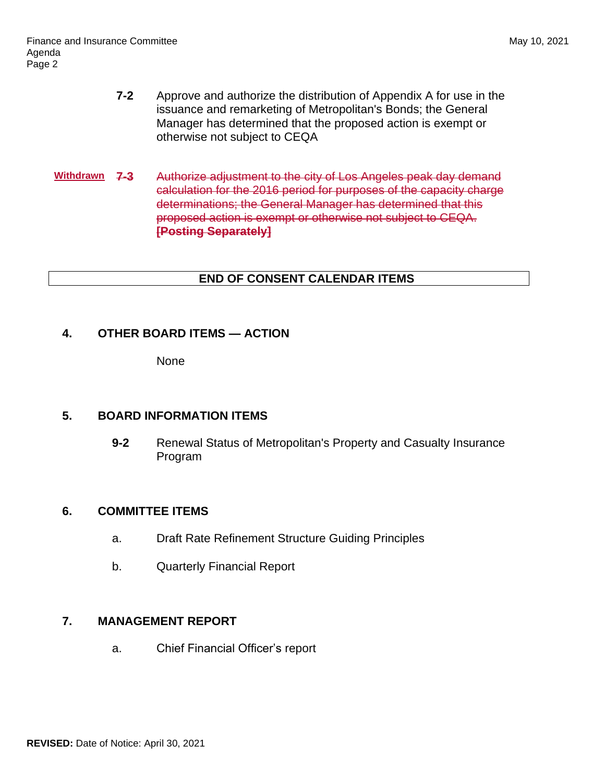- **7-2** Approve and authorize the distribution of Appendix A for use in the issuance and remarketing of Metropolitan's Bonds; the General Manager has determined that the proposed action is exempt or otherwise not subject to CEQA
- **Withdrawn 7-3** Authorize adjustment to the city of Los Angeles peak day demand calculation for the 2016 period for purposes of the capacity charge determinations; the General Manager has determined that this proposed action is exempt or otherwise not subject to CEQA. **[Posting Separately]**

# **END OF CONSENT CALENDAR ITEMS**

### **4. OTHER BOARD ITEMS — ACTION**

None

## **5. BOARD INFORMATION ITEMS**

**9-2** Renewal Status of Metropolitan's Property and Casualty Insurance Program

### **6. COMMITTEE ITEMS**

- a. Draft Rate Refinement Structure Guiding Principles
- b. Quarterly Financial Report

## **7. MANAGEMENT REPORT**

a. Chief Financial Officer's report